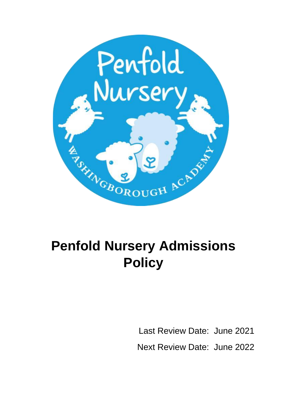

# **Penfold Nursery Admissions Policy**

Last Review Date: June 2021 Next Review Date: June 2022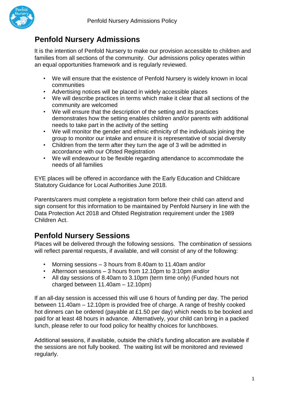

## **Penfold Nursery Admissions**

It is the intention of Penfold Nursery to make our provision accessible to children and families from all sections of the community. Our admissions policy operates within an equal opportunities framework and is regularly reviewed.

- We will ensure that the existence of Penfold Nursery is widely known in local communities
- Advertising notices will be placed in widely accessible places
- We will describe practices in terms which make it clear that all sections of the community are welcomed
- We will ensure that the description of the setting and its practices demonstrates how the setting enables children and/or parents with additional needs to take part in the activity of the setting
- We will monitor the gender and ethnic ethnicity of the individuals joining the group to monitor our intake and ensure it is representative of social diversity
- Children from the term after they turn the age of 3 will be admitted in accordance with our Ofsted Registration
- We will endeavour to be flexible regarding attendance to accommodate the needs of all families

EYE places will be offered in accordance with the Early Education and Childcare Statutory Guidance for Local Authorities June 2018.

Parents/carers must complete a registration form before their child can attend and sign consent for this information to be maintained by Penfold Nursery in line with the Data Protection Act 2018 and Ofsted Registration requirement under the 1989 Children Act.

### **Penfold Nursery Sessions**

Places will be delivered through the following sessions. The combination of sessions will reflect parental requests, if available, and will consist of any of the following:

- Morning sessions 3 hours from 8.40am to 11.40am and/or
- Afternoon sessions 3 hours from 12.10pm to 3:10pm and/or
- All day sessions of 8.40am to 3.10pm (term time only) (Funded hours not charged between 11.40am – 12.10pm)

If an all-day session is accessed this will use 6 hours of funding per day. The period between 11.40am – 12.10pm is provided free of charge. A range of freshly cooked hot dinners can be ordered (payable at £1.50 per day) which needs to be booked and paid for at least 48 hours in advance. Alternatively, your child can bring in a packed lunch, please refer to our food policy for healthy choices for lunchboxes.

Additional sessions, if available, outside the child's funding allocation are available if the sessions are not fully booked. The waiting list will be monitored and reviewed regularly.